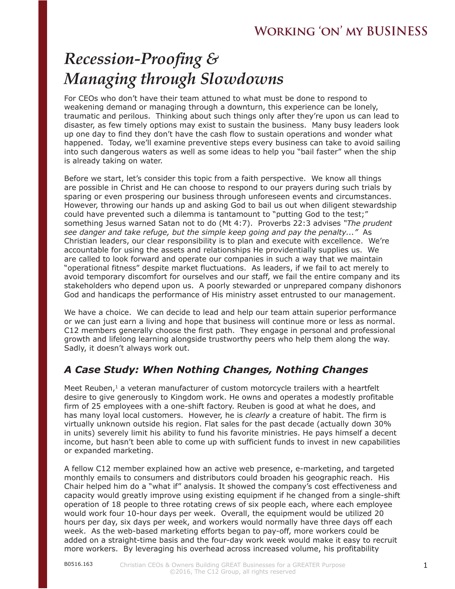# *Recession-Proofing & Managing through Slowdowns*

For CEOs who don't have their team attuned to what must be done to respond to weakening demand or managing through a downturn, this experience can be lonely, traumatic and perilous. Thinking about such things only after they're upon us can lead to disaster, as few timely options may exist to sustain the business. Many busy leaders look up one day to find they don't have the cash flow to sustain operations and wonder what happened. Today, we'll examine preventive steps every business can take to avoid sailing into such dangerous waters as well as some ideas to help you "bail faster" when the ship is already taking on water.

Before we start, let's consider this topic from a faith perspective. We know all things are possible in Christ and He can choose to respond to our prayers during such trials by sparing or even prospering our business through unforeseen events and circumstances. However, throwing our hands up and asking God to bail us out when diligent stewardship could have prevented such a dilemma is tantamount to "putting God to the test;" something Jesus warned Satan not to do (Mt 4:7). Proverbs 22:3 advises *"The prudent see danger and take refuge, but the simple keep going and pay the penalty..."* As Christian leaders, our clear responsibility is to plan and execute with excellence. We're accountable for using the assets and relationships He providentially supplies us. We are called to look forward and operate our companies in such a way that we maintain "operational fitness" despite market fluctuations. As leaders, if we fail to act merely to avoid temporary discomfort for ourselves and our staff, we fail the entire company and its stakeholders who depend upon us. A poorly stewarded or unprepared company dishonors God and handicaps the performance of His ministry asset entrusted to our management.

We have a choice. We can decide to lead and help our team attain superior performance or we can just earn a living and hope that business will continue more or less as normal. C12 members generally choose the first path. They engage in personal and professional growth and lifelong learning alongside trustworthy peers who help them along the way. Sadly, it doesn't always work out.

#### *A Case Study: When Nothing Changes, Nothing Changes*

Meet Reuben, $1$  a veteran manufacturer of custom motorcycle trailers with a heartfelt desire to give generously to Kingdom work. He owns and operates a modestly profitable firm of 25 employees with a one-shift factory. Reuben is good at what he does, and has many loyal local customers. However, he is *clearly* a creature of habit. The firm is virtually unknown outside his region. Flat sales for the past decade (actually down 30% in units) severely limit his ability to fund his favorite ministries. He pays himself a decent income, but hasn't been able to come up with sufficient funds to invest in new capabilities or expanded marketing.

A fellow C12 member explained how an active web presence, e-marketing, and targeted monthly emails to consumers and distributors could broaden his geographic reach. His Chair helped him do a "what if" analysis. It showed the company's cost effectiveness and capacity would greatly improve using existing equipment if he changed from a single-shift operation of 18 people to three rotating crews of six people each, where each employee would work four 10-hour days per week. Overall, the equipment would be utilized 20 hours per day, six days per week, and workers would normally have three days off each week. As the web-based marketing efforts began to pay-off, more workers could be added on a straight-time basis and the four-day work week would make it easy to recruit more workers. By leveraging his overhead across increased volume, his profitability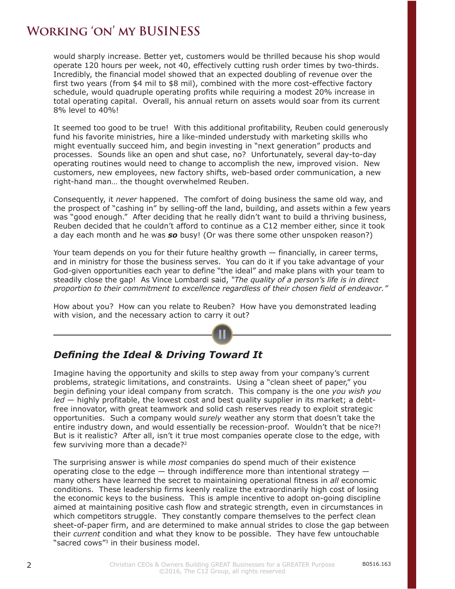would sharply increase. Better yet, customers would be thrilled because his shop would operate 120 hours per week, not 40, effectively cutting rush order times by two-thirds. Incredibly, the financial model showed that an expected doubling of revenue over the first two years (from \$4 mil to \$8 mil), combined with the more cost-effective factory schedule, would quadruple operating profits while requiring a modest 20% increase in total operating capital. Overall, his annual return on assets would soar from its current 8% level to 40%!

It seemed too good to be true! With this additional profitability, Reuben could generously fund his favorite ministries, hire a like-minded understudy with marketing skills who might eventually succeed him, and begin investing in "next generation" products and processes. Sounds like an open and shut case, no? Unfortunately, several day-to-day operating routines would need to change to accomplish the new, improved vision. New customers, new employees, new factory shifts, web-based order communication, a new right-hand man… the thought overwhelmed Reuben.

Consequently, it *never* happened. The comfort of doing business the same old way, and the prospect of "cashing in" by selling-off the land, building, and assets within a few years was "good enough." After deciding that he really didn't want to build a thriving business, Reuben decided that he couldn't afford to continue as a C12 member either, since it took a day each month and he was *so* busy! (Or was there some other unspoken reason?)

Your team depends on you for their future healthy growth — financially, in career terms, and in ministry for those the business serves. You can do it if you take advantage of your God-given opportunities each year to define "the ideal" and make plans with your team to steadily close the gap! As Vince Lombardi said, *"The quality of a person's life is in direct proportion to their commitment to excellence regardless of their chosen field of endeavor."* 

How about you? How can you relate to Reuben? How have you demonstrated leading with vision, and the necessary action to carry it out?

#### *Defining the Ideal & Driving Toward It*

Imagine having the opportunity and skills to step away from your company's current problems, strategic limitations, and constraints. Using a "clean sheet of paper," you begin defining your ideal company from scratch. This company is the one *you wish you led* — highly profitable, the lowest cost and best quality supplier in its market; a debtfree innovator, with great teamwork and solid cash reserves ready to exploit strategic opportunities. Such a company would *surely* weather any storm that doesn't take the entire industry down, and would essentially be recession-proof. Wouldn't that be nice?! But is it realistic? After all, isn't it true most companies operate close to the edge, with few surviving more than a decade?2

The surprising answer is while *most* companies do spend much of their existence operating close to the edge  $-$  through indifference more than intentional strategy  $$ many others have learned the secret to maintaining operational fitness in *all* economic conditions. These leadership firms keenly realize the extraordinarily high cost of losing the economic keys to the business. This is ample incentive to adopt on-going discipline aimed at maintaining positive cash flow and strategic strength, even in circumstances in which competitors struggle. They constantly compare themselves to the perfect clean sheet-of-paper firm, and are determined to make annual strides to close the gap between their *current* condition and what they know to be possible. They have few untouchable "sacred cows"3 in their business model.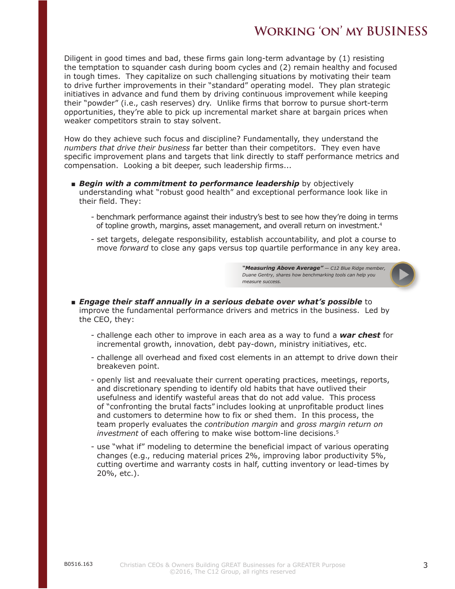Diligent in good times and bad, these firms gain long-term advantage by (1) resisting the temptation to squander cash during boom cycles and (2) remain healthy and focused in tough times. They capitalize on such challenging situations by motivating their team to drive further improvements in their "standard" operating model. They plan strategic initiatives in advance and fund them by driving continuous improvement while keeping their "powder" (i.e., cash reserves) dry. Unlike firms that borrow to pursue short-term opportunities, they're able to pick up incremental market share at bargain prices when weaker competitors strain to stay solvent.

How do they achieve such focus and discipline? Fundamentally, they understand the *numbers that drive their business* far better than their competitors. They even have specific improvement plans and targets that link directly to staff performance metrics and compensation. Looking a bit deeper, such leadership firms...

- **Begin with a commitment to performance leadership** by objectively understanding what "robust good health" and exceptional performance look like in their field. They:
	- benchmark performance against their industry's best to see how they're doing in terms of topline growth, margins, asset management, and overall return on investment.4
	- set targets, delegate responsibility, establish accountability, and plot a course to move *forward* to close any gaps versus top quartile performance in any key area.

*"Measuring Above Average" — C12 Blue Ridge member, Duane Gentry, shares how benchmarking tools can help you measure success.*

- *Engage their staff annually in a serious debate over what's possible* to improve the fundamental performance drivers and metrics in the business. Led by the CEO, they:
	- challenge each other to improve in each area as a way to fund a *war chest* for incremental growth, innovation, debt pay-down, ministry initiatives, etc.
	- challenge all overhead and fixed cost elements in an attempt to drive down their breakeven point.
	- openly list and reevaluate their current operating practices, meetings, reports, and discretionary spending to identify old habits that have outlived their usefulness and identify wasteful areas that do not add value. This process of "confronting the brutal facts" includes looking at unprofitable product lines and customers to determine how to fix or shed them. In this process, the team properly evaluates the *contribution margin* and *gross margin return on investment* of each offering to make wise bottom-line decisions.5
	- use "what if" modeling to determine the beneficial impact of various operating changes (e.g., reducing material prices 2%, improving labor productivity 5%, cutting overtime and warranty costs in half, cutting inventory or lead-times by 20%, etc.).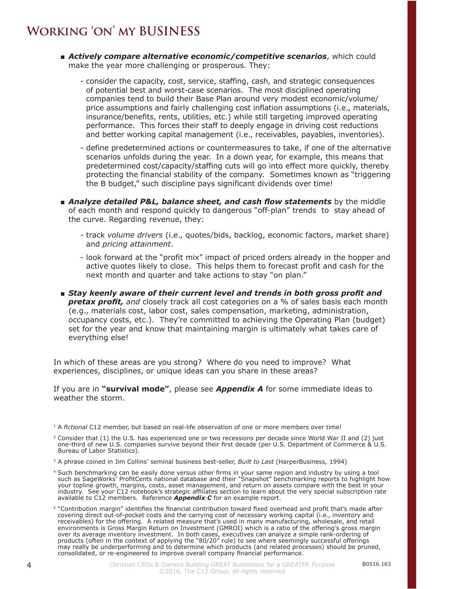- *Actively compare alternative economic/competitive scenarios*, which could make the year more challenging or prosperous. They:
	- consider the capacity, cost, service, staffing, cash, and strategic consequences of potential best and worst-case scenarios. The most disciplined operating companies tend to build their Base Plan around very modest economic/volume/ price assumptions and fairly challenging cost inflation assumptions (i.e., materials, insurance/benefits, rents, utilities, etc.) while still targeting improved operating performance. This forces their staff to deeply engage in driving cost reductions and better working capital management (i.e., receivables, payables, inventories).
	- define predetermined actions or countermeasures to take, if one of the alternative scenarios unfolds during the year. In a down year, for example, this means that predetermined cost/capacity/staffing cuts will go into effect more quickly, thereby protecting the financial stability of the company. Sometimes known as "triggering the B budget," such discipline pays significant dividends over time!
- *Analyze detailed P&L, balance sheet, and cash flow statements* **by the middle** of each month and respond quickly to dangerous "off-plan" trends to stay ahead of the curve. Regarding revenue, they:
	- track *volume drivers* (i.e., quotes/bids, backlog, economic factors, market share) and *pricing attainment*.
	- look forward at the "profit mix" impact of priced orders already in the hopper and active quotes likely to close. This helps them to forecast profit and cash for the next month and quarter and take actions to stay "on plan."
- *Stay keenly aware of their current level and trends in both gross profit and*  **pretax profit,** and closely track all cost categories on a % of sales basis each month (e.g., materials cost, labor cost, sales compensation, marketing, administration, occupancy costs, etc.). They're committed to achieving the Operating Plan (budget) set for the year and know that maintaining margin is ultimately what takes care of everything else!

In which of these areas are you strong? Where do you need to improve? What experiences, disciplines, or unique ideas can you share in these areas?

If you are in **"survival mode"**, please see *Appendix A* for some immediate ideas to weather the storm.

4

<sup>1</sup> A *fictional* C12 member, but based on real-life observation of one or more members over time!

 $2$  Consider that (1) the U.S. has experienced one or two recessions per decade since World War II and (2) just one-third of new U.S. companies survive beyond their first decade (per U.S. Department of Commerce & U.S. Bureau of Labor Statistics).

<sup>3</sup> A phrase coined in Jim Collins' seminal business best-seller, *Built to Last* (HarperBusiness, 1994)

<sup>4</sup> Such benchmarking can be easily done versus other firms in your same region and industry by using a tool such as SageWorks' ProfitCents national database and their "Snapshot" benchmarking reports to highlight how your topline growth, margins, costs, asset management, and return on assets compare with the best in your industry. See your C12 notebook's strategic affiliates section to learn about the very special subscription rate available to C12 members. Reference *Appendix C* for an example report.

<sup>5</sup> "Contribution margin" identifies the financial contribution toward fixed overhead and profit that's made after covering direct out-of-pocket costs and the carrying cost of necessary working capital (i.e., inventory and receivables) for the offering. A related measure that's used in many manufacturing, wholesale, and retail environments is Gross Margin Return on Investment (GMROI) which is a ratio of the offering's gross margin over its average inventory investment. In both cases, executives can analyze a simple rank-ordering of products (often in the context of applying the "80/20" rule) to see where seemingly successful offerings may really be underperforming and to determine which products (and related processes) should be pruned, consolidated, or re-engineered to improve overall company financial performance.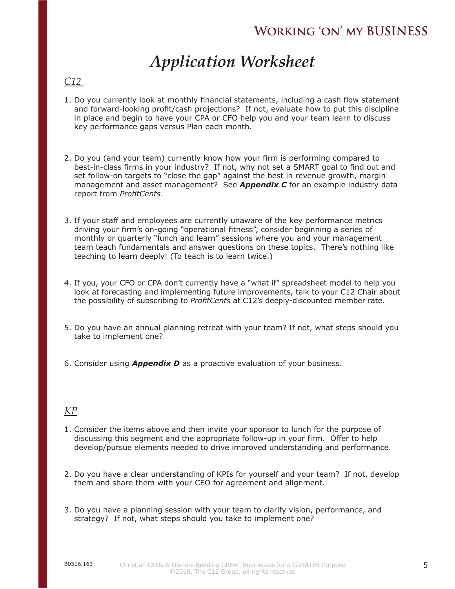# *Application Worksheet*

#### *C12*

- 1. Do you currently look at monthly financial statements, including a cash flow statement and forward-looking profit/cash projections? If not, evaluate how to put this discipline in place and begin to have your CPA or CFO help you and your team learn to discuss key performance gaps versus Plan each month.
- 2. Do you (and your team) currently know how your firm is performing compared to best-in-class firms in your industry? If not, why not set a SMART goal to find out and set follow-on targets to "close the gap" against the best in revenue growth, margin management and asset management? See *Appendix C* for an example industry data report from *ProfitCents*.
- 3. If your staff and employees are currently unaware of the key performance metrics driving your firm's on-going "operational fitness", consider beginning a series of monthly or quarterly "lunch and learn" sessions where you and your management team teach fundamentals and answer questions on these topics. There's nothing like teaching to learn deeply! (To teach is to learn twice.)
- 4. If you, your CFO or CPA don't currently have a "what if" spreadsheet model to help you look at forecasting and implementing future improvements, talk to your C12 Chair about the possibility of subscribing to *ProfitCents* at C12's deeply-discounted member rate.
- 5. Do you have an annual planning retreat with your team? If not, what steps should you take to implement one?
- 6. Consider using *Appendix D* as a proactive evaluation of your business.

#### *KP*

- 1. Consider the items above and then invite your sponsor to lunch for the purpose of discussing this segment and the appropriate follow-up in your firm. Offer to help develop/pursue elements needed to drive improved understanding and performance.
- 2. Do you have a clear understanding of KPIs for yourself and your team? If not, develop them and share them with your CEO for agreement and alignment.
- 3. Do you have a planning session with your team to clarify vision, performance, and strategy? If not, what steps should you take to implement one?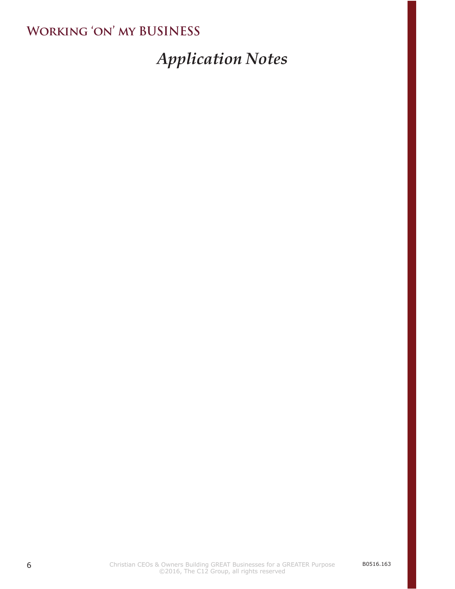# *Application Notes*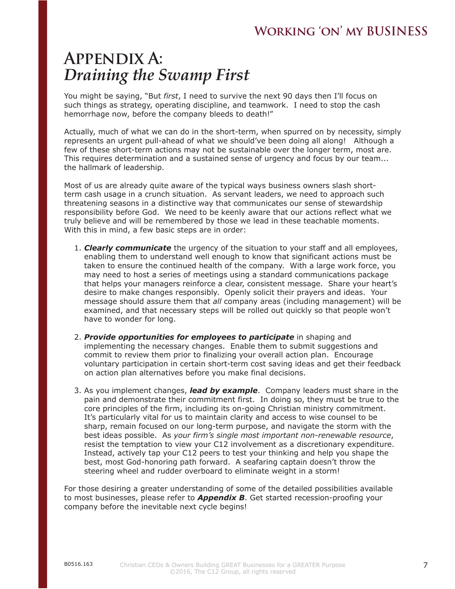## **Appendix A:** *Draining the Swamp First*

You might be saying, "But *first*, I need to survive the next 90 days then I'll focus on such things as strategy, operating discipline, and teamwork. I need to stop the cash hemorrhage now, before the company bleeds to death!"

Actually, much of what we can do in the short-term, when spurred on by necessity, simply represents an urgent pull-ahead of what we should've been doing all along! Although a few of these short-term actions may not be sustainable over the longer term, most are. This requires determination and a sustained sense of urgency and focus by our team... the hallmark of leadership.

Most of us are already quite aware of the typical ways business owners slash shortterm cash usage in a crunch situation. As servant leaders, we need to approach such threatening seasons in a distinctive way that communicates our sense of stewardship responsibility before God. We need to be keenly aware that our actions reflect what we truly believe and will be remembered by those we lead in these teachable moments. With this in mind, a few basic steps are in order:

- 1. *Clearly communicate* the urgency of the situation to your staff and all employees, enabling them to understand well enough to know that significant actions must be taken to ensure the continued health of the company. With a large work force, you may need to host a series of meetings using a standard communications package that helps your managers reinforce a clear, consistent message. Share your heart's desire to make changes responsibly. Openly solicit their prayers and ideas. Your message should assure them that *all* company areas (including management) will be examined, and that necessary steps will be rolled out quickly so that people won't have to wonder for long.
- 2. *Provide opportunities for employees to participate* in shaping and implementing the necessary changes. Enable them to submit suggestions and commit to review them prior to finalizing your overall action plan. Encourage voluntary participation in certain short-term cost saving ideas and get their feedback on action plan alternatives before you make final decisions.
- 3. As you implement changes, *lead by example*. Company leaders must share in the pain and demonstrate their commitment first. In doing so, they must be true to the core principles of the firm, including its on-going Christian ministry commitment. It's particularly vital for us to maintain clarity and access to wise counsel to be sharp, remain focused on our long-term purpose, and navigate the storm with the best ideas possible. As *your firm's single most important non-renewable resource*, resist the temptation to view your C12 involvement as a discretionary expenditure. Instead, actively tap your C12 peers to test your thinking and help you shape the best, most God-honoring path forward. A seafaring captain doesn't throw the steering wheel and rudder overboard to eliminate weight in a storm!

For those desiring a greater understanding of some of the detailed possibilities available to most businesses, please refer to *Appendix B*. Get started recession-proofing your company before the inevitable next cycle begins!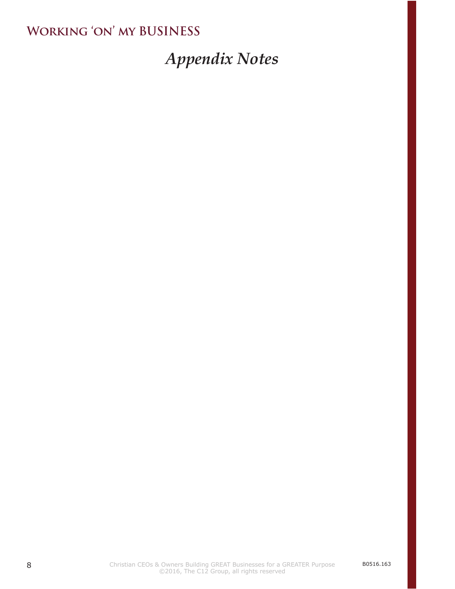# *Appendix Notes*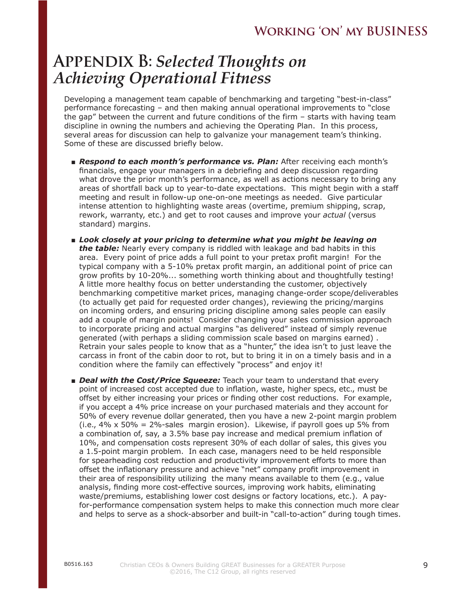# **Appendix B:** *Selected Thoughts on Achieving Operational Fitness*

Developing a management team capable of benchmarking and targeting "best-in-class" performance forecasting – and then making annual operational improvements to "close the gap" between the current and future conditions of the firm – starts with having team discipline in owning the numbers and achieving the Operating Plan. In this process, several areas for discussion can help to galvanize your management team's thinking. Some of these are discussed briefly below.

- *Respond to each month's performance vs. Plan:* After receiving each month's financials, engage your managers in a debriefing and deep discussion regarding what drove the prior month's performance, as well as actions necessary to bring any areas of shortfall back up to year-to-date expectations. This might begin with a staff meeting and result in follow-up one-on-one meetings as needed. Give particular intense attention to highlighting waste areas (overtime, premium shipping, scrap, rework, warranty, etc.) and get to root causes and improve your *actual* (versus standard) margins.
- *Look closely at your pricing to determine what you might be leaving on the table:* Nearly every company is riddled with leakage and bad habits in this area. Every point of price adds a full point to your pretax profit margin! For the typical company with a 5-10% pretax profit margin, an additional point of price can grow profits by 10-20%... something worth thinking about and thoughtfully testing! A little more healthy focus on better understanding the customer, objectively benchmarking competitive market prices, managing change-order scope/deliverables (to actually get paid for requested order changes), reviewing the pricing/margins on incoming orders, and ensuring pricing discipline among sales people can easily add a couple of margin points! Consider changing your sales commission approach to incorporate pricing and actual margins "as delivered" instead of simply revenue generated (with perhaps a sliding commission scale based on margins earned) . Retrain your sales people to know that as a "hunter," the idea isn't to just leave the carcass in front of the cabin door to rot, but to bring it in on a timely basis and in a condition where the family can effectively "process" and enjoy it!
- *Deal with the Cost/Price Squeeze:* Teach your team to understand that every point of increased cost accepted due to inflation, waste, higher specs, etc., must be offset by either increasing your prices or finding other cost reductions. For example, if you accept a 4% price increase on your purchased materials and they account for 50% of every revenue dollar generated, then you have a new 2-point margin problem (i.e.,  $4\% \times 50\% = 2\%$ -sales margin erosion). Likewise, if payroll goes up 5% from a combination of, say, a 3.5% base pay increase and medical premium inflation of 10%, and compensation costs represent 30% of each dollar of sales, this gives you a 1.5-point margin problem. In each case, managers need to be held responsible for spearheading cost reduction and productivity improvement efforts to more than offset the inflationary pressure and achieve "net" company profit improvement in their area of responsibility utilizing the many means available to them (e.g., value analysis, finding more cost-effective sources, improving work habits, eliminating waste/premiums, establishing lower cost designs or factory locations, etc.). A payfor-performance compensation system helps to make this connection much more clear and helps to serve as a shock-absorber and built-in "call-to-action" during tough times.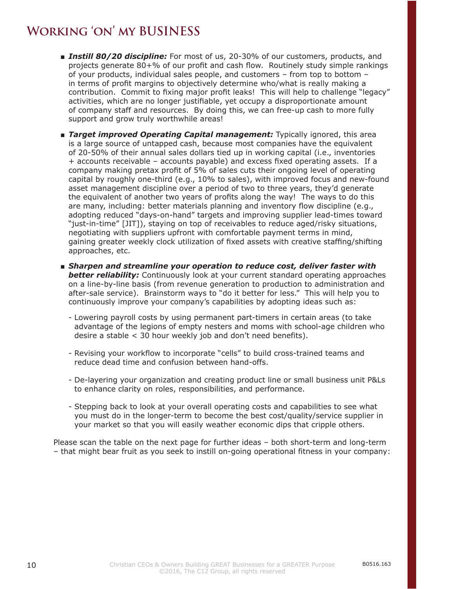- *Instill 80/20 discipline:* For most of us, 20-30% of our customers, products, and projects generate 80+% of our profit and cash flow. Routinely study simple rankings of your products, individual sales people, and customers – from top to bottom – in terms of profit margins to objectively determine who/what is really making a contribution. Commit to fixing major profit leaks! This will help to challenge "legacy" activities, which are no longer justifiable, yet occupy a disproportionate amount of company staff and resources. By doing this, we can free-up cash to more fully support and grow truly worthwhile areas!
- **Target improved Operating Capital management:** Typically ignored, this area is a large source of untapped cash, because most companies have the equivalent of 20-50% of their annual sales dollars tied up in working capital (i.e., inventories + accounts receivable – accounts payable) and excess fixed operating assets. If a company making pretax profit of 5% of sales cuts their ongoing level of operating capital by roughly one-third (e.g., 10% to sales), with improved focus and new-found asset management discipline over a period of two to three years, they'd generate the equivalent of another two years of profits along the way! The ways to do this are many, including: better materials planning and inventory flow discipline (e.g., adopting reduced "days-on-hand" targets and improving supplier lead-times toward "just-in-time" [JIT]), staying on top of receivables to reduce aged/risky situations, negotiating with suppliers upfront with comfortable payment terms in mind, gaining greater weekly clock utilization of fixed assets with creative staffing/shifting approaches, etc.
- **Sharpen and streamline your operation to reduce cost, deliver faster with better reliability:** Continuously look at your current standard operating approaches on a line-by-line basis (from revenue generation to production to administration and after-sale service). Brainstorm ways to "do it better for less." This will help you to continuously improve your company's capabilities by adopting ideas such as:
	- Lowering payroll costs by using permanent part-timers in certain areas (to take advantage of the legions of empty nesters and moms with school-age children who desire a stable < 30 hour weekly job and don't need benefits).
	- Revising your workflow to incorporate "cells" to build cross-trained teams and reduce dead time and confusion between hand-offs.
	- De-layering your organization and creating product line or small business unit P&Ls to enhance clarity on roles, responsibilities, and performance.
	- Stepping back to look at your overall operating costs and capabilities to see what you must do in the longer-term to become the best cost/quality/service supplier in your market so that you will easily weather economic dips that cripple others.

Please scan the table on the next page for further ideas – both short-term and long-term – that might bear fruit as you seek to instill on-going operational fitness in your company: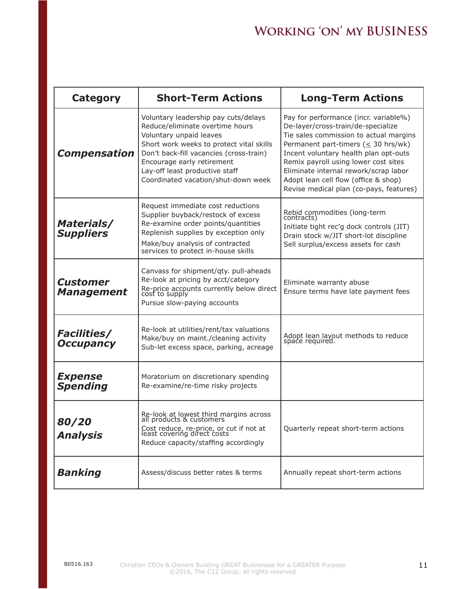| <b>Category</b>                          | <b>Short-Term Actions</b>                                                                                                                                                                                                                                                                        | <b>Long-Term Actions</b>                                                                                                                                                                                                                                                                                                                                                        |
|------------------------------------------|--------------------------------------------------------------------------------------------------------------------------------------------------------------------------------------------------------------------------------------------------------------------------------------------------|---------------------------------------------------------------------------------------------------------------------------------------------------------------------------------------------------------------------------------------------------------------------------------------------------------------------------------------------------------------------------------|
| <b>Compensation</b>                      | Voluntary leadership pay cuts/delays<br>Reduce/eliminate overtime hours<br>Voluntary unpaid leaves<br>Short work weeks to protect vital skills<br>Don't back-fill vacancies (cross-train)<br>Encourage early retirement<br>Lay-off least productive staff<br>Coordinated vacation/shut-down week | Pay for performance (incr. variable%)<br>De-layer/cross-train/de-specialize<br>Tie sales commission to actual margins<br>Permanent part-timers ( $\leq$ 30 hrs/wk)<br>Incent voluntary health plan opt-outs<br>Remix payroll using lower cost sites<br>Eliminate internal rework/scrap labor<br>Adopt lean cell flow (office & shop)<br>Revise medical plan (co-pays, features) |
| <b>Materials/</b><br><b>Suppliers</b>    | Request immediate cost reductions<br>Supplier buyback/restock of excess<br>Re-examine order points/quantities<br>Replenish supplies by exception only<br>Make/buy analysis of contracted<br>services to protect in-house skills                                                                  | Rebid commodities (long-term<br>contracts)<br>Initiate tight rec'g dock controls (JIT)<br>Drain stock w/JIT short-lot discipline<br>Sell surplus/excess assets for cash                                                                                                                                                                                                         |
| <b>Customer</b><br><b>Management</b>     | Canvass for shipment/qty. pull-aheads<br>Re-look at pricing by acct/category<br>Re-price accounts currently below direct<br>cost to supply<br>Pursue slow-paying accounts                                                                                                                        | Eliminate warranty abuse<br>Ensure terms have late payment fees                                                                                                                                                                                                                                                                                                                 |
| <b>Facilities/</b><br><b>Occupancy</b>   | Re-look at utilities/rent/tax valuations<br>Make/buy on maint./cleaning activity<br>Sub-let excess space, parking, acreage                                                                                                                                                                       | Adopt lean layout methods to reduce<br>space required.                                                                                                                                                                                                                                                                                                                          |
| <i><b>Expense</b></i><br><b>Spending</b> | Moratorium on discretionary spending<br>Re-examine/re-time risky projects                                                                                                                                                                                                                        |                                                                                                                                                                                                                                                                                                                                                                                 |
| 80/20<br><b>Analysis</b>                 | Re-look at lowest third margins across<br>all products & customers<br>Cost reduce, re-price, or cut if not at<br>least covering direct costs<br>Reduce capacity/staffing accordingly                                                                                                             | Quarterly repeat short-term actions                                                                                                                                                                                                                                                                                                                                             |
| <b>Banking</b>                           | Assess/discuss better rates & terms                                                                                                                                                                                                                                                              | Annually repeat short-term actions                                                                                                                                                                                                                                                                                                                                              |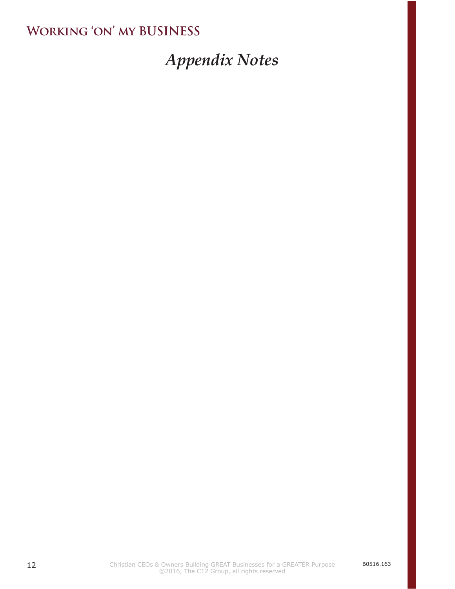# *Appendix Notes*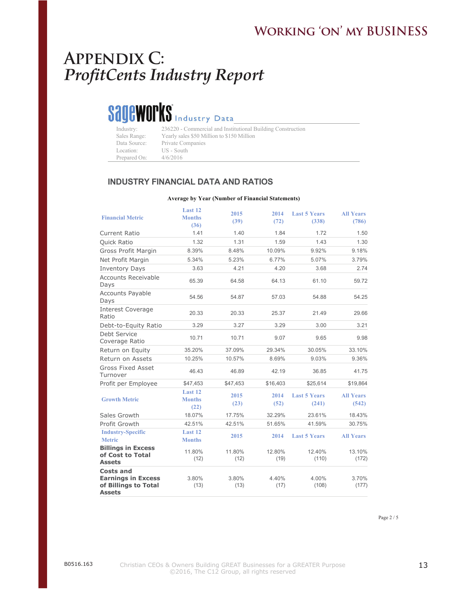#### WORKING 'ON' MY BUSINESS

#### **Appendix C:** *ProfitCents Industry Report* **615-866-0827**

# Sageworks Industry Data

| Industry:    | 236220 - Commercial and Institutional Building Construction |
|--------------|-------------------------------------------------------------|
| Sales Range: | Yearly sales \$50 Million to \$150 Million                  |
| Data Source: | Private Companies                                           |
| Location:    | US - South                                                  |
| Prepared On: | 4/6/2016                                                    |

#### **INDUSTRY FINANCIAL DATA AND RATIOS**

#### **Average by Year (Number of Financial Statements)**

| <b>Financial Metric</b>                                                         | Last 12<br><b>Months</b><br>(36) | 2015<br>(39)   | 2014<br>(72)   | <b>Last 5 Years</b><br>(338) | <b>All Years</b><br>(786) |
|---------------------------------------------------------------------------------|----------------------------------|----------------|----------------|------------------------------|---------------------------|
| <b>Current Ratio</b>                                                            | 1.41                             | 1.40           | 1.84           | 1.72                         | 1.50                      |
| <b>Quick Ratio</b>                                                              | 1.32                             | 1.31           | 1.59           | 1.43                         | 1.30                      |
| Gross Profit Margin                                                             | 8.39%                            | 8.48%          | 10.09%         | 9.92%                        | 9.18%                     |
| Net Profit Margin                                                               | 5.34%                            | 5.23%          | 6.77%          | 5.07%                        | 3.79%                     |
| <b>Inventory Days</b>                                                           | 3.63                             | 4.21           | 4.20           | 3.68                         | 2.74                      |
| Accounts Receivable<br>Days                                                     | 65.39                            | 64.58          | 64.13          | 61.10                        | 59.72                     |
| <b>Accounts Payable</b><br>Days                                                 | 54.56                            | 54.87          | 57.03          | 54.88                        | 54.25                     |
| <b>Interest Coverage</b><br>Ratio                                               | 20.33                            | 20.33          | 25.37          | 21.49                        | 29.66                     |
| Debt-to-Equity Ratio                                                            | 3.29                             | 3.27           | 3.29           | 3.00                         | 3.21                      |
| Debt Service<br>Coverage Ratio                                                  | 10.71                            | 10.71          | 9.07           | 9.65                         | 9.98                      |
| Return on Equity                                                                | 35.20%                           | 37.09%         | 29.34%         | 30.05%                       | 33.10%                    |
| Return on Assets                                                                | 10.25%                           | 10.57%         | 8.69%          | 9.03%                        | 9.36%                     |
| Gross Fixed Asset<br>Turnover                                                   | 46.43                            | 46.89          | 42.19          | 36.85                        | 41.75                     |
| Profit per Employee                                                             | \$47,453                         | \$47,453       | \$16,403       | \$25,614                     | \$19,864                  |
| <b>Growth Metric</b>                                                            | Last 12<br><b>Months</b><br>(22) | 2015<br>(23)   | 2014<br>(52)   | <b>Last 5 Years</b><br>(241) | <b>All Years</b><br>(542) |
| Sales Growth                                                                    | 18.07%                           | 17.75%         | 32.29%         | 23.61%                       | 18.43%                    |
| Profit Growth                                                                   | 42.51%                           | 42.51%         | 51.65%         | 41.59%                       | 30.75%                    |
| <b>Industry-Specific</b><br><b>Metric</b>                                       | Last 12<br><b>Months</b>         | 2015           | 2014           | <b>Last 5 Years</b>          | <b>All Years</b>          |
| <b>Billings in Excess</b><br>of Cost to Total<br><b>Assets</b>                  | 11.80%<br>(12)                   | 11.80%<br>(12) | 12.80%<br>(19) | 12.40%<br>(110)              | 13.10%<br>(172)           |
| Costs and<br><b>Earnings in Excess</b><br>of Billings to Total<br><b>Assets</b> | 3.80%<br>(13)                    | 3.80%<br>(13)  | 4.40%<br>(17)  | 4.00%<br>(108)               | 3.70%<br>(177)            |

Page 2 / 5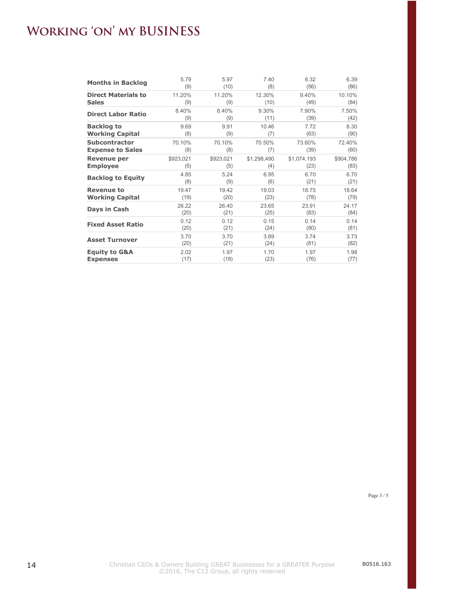#### **WORKING 'ON' MY BUSINESS ON' MY BUSINES**  $\overline{a}$

| <b>Months in Backlog</b>   | 5.79      | 5.97      | 7.40        | 6.32        | 6.39      |
|----------------------------|-----------|-----------|-------------|-------------|-----------|
|                            | (9)       | (10)      | (8)         | (56)        | (86)      |
| <b>Direct Materials to</b> | 11.20%    | 11.20%    | 12.30%      | 9.40%       | 10.10%    |
| <b>Sales</b>               | (9)       | (9)       | (10)        | (49)        | (84)      |
| <b>Direct Labor Ratio</b>  | 8.40%     | 8.40%     | 9.30%       | 7.90%       | 7.50%     |
|                            | (9)       | (9)       | (11)        | (39)        | (42)      |
| <b>Backlog to</b>          | 9.69      | 9.91      | 10.46       | 7.72        | 8.30      |
| <b>Working Capital</b>     | (8)       | (9)       | (7)         | (63)        | (90)      |
| <b>Subcontractor</b>       | 70.10%    | 70.10%    | 70.50%      | 73.60%      | 72.40%    |
| <b>Expense to Sales</b>    | (8)       | (8)       | (7)         | (39)        | (60)      |
| Revenue per                | \$923,021 | \$923,021 | \$1,298,490 | \$1,074,193 | \$904,786 |
| <b>Employee</b>            | (5)       | (5)       | (4)         | (23)        | (83)      |
| <b>Backlog to Equity</b>   | 4.85      | 5.24      | 6.95        | 6.70        | 6.70      |
|                            | (8)       | (9)       | (6)         | (21)        | (21)      |
| <b>Revenue to</b>          | 19.47     | 19.42     | 19.03       | 18.75       | 18.64     |
| <b>Working Capital</b>     | (19)      | (20)      | (23)        | (78)        | (79)      |
| Days in Cash               | 26.22     | 26.40     | 23.65       | 23.91       | 24.17     |
|                            | (20)      | (21)      | (25)        | (83)        | (84)      |
| <b>Fixed Asset Ratio</b>   | 0.12      | 0.12      | 0.15        | 0.14        | 0.14      |
|                            | (20)      | (21)      | (24)        | (80)        | (81)      |
| <b>Asset Turnover</b>      | 3.70      | 3.70      | 3.69        | 3.74        | 3.73      |
|                            | (20)      | (21)      | (24)        | (81)        | (82)      |
| <b>Equity to G&amp;A</b>   | 2.02      | 1.97      | 1.70        | 1.97        | 1.98      |
| <b>Expenses</b>            | (17)      | (18)      | (23)        | (76)        | (77)      |

Page 3 / 5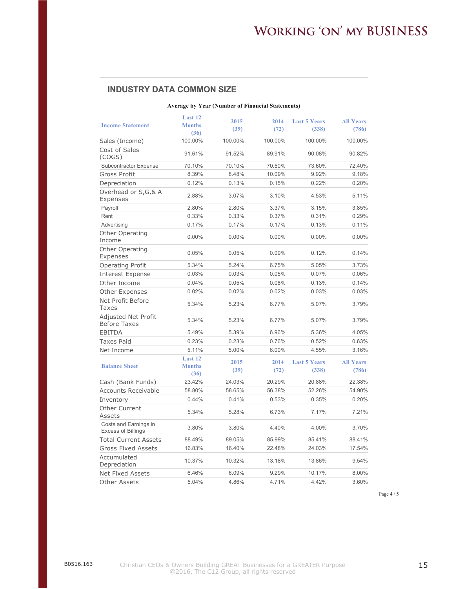#### **Working 'on' my BUSINESS**  $\mathbf{D}^{\mathbf{2}}$  $\epsilon$  $\mathcal{F}^{\pm}$  $0.15$  Orvance

#### **INDUSTRY DATA COMMON SIZE**

#### **Average by Year (Number of Financial Statements)**

|                                                    | Last 12                          | 2015         | 2014         | <b>Last 5 Years</b>          | <b>All Years</b>          |
|----------------------------------------------------|----------------------------------|--------------|--------------|------------------------------|---------------------------|
| <b>Income Statement</b>                            | <b>Months</b><br>(36)            | (39)         | (72)         | (338)                        | (786)                     |
| Sales (Income)                                     | 100.00%                          | 100.00%      | 100.00%      | 100.00%                      | 100.00%                   |
| Cost of Sales<br>(COGS)                            | 91.61%                           | 91.52%       | 89.91%       | 90.08%                       | 90.82%                    |
| Subcontractor Expense                              | 70.10%                           | 70.10%       | 70.50%       | 73.60%                       | 72.40%                    |
| Gross Profit                                       | 8.39%                            | 8.48%        | 10.09%       | 9.92%                        | 9.18%                     |
| Depreciation                                       | 0.12%                            | 0.13%        | 0.15%        | 0.22%                        | 0.20%                     |
| Overhead or S,G,& A<br>Expenses                    | 2.88%                            | 3.07%        | 3.10%        | 4.53%                        | 5.11%                     |
| Payroll                                            | 2.80%                            | 2.80%        | 3.37%        | 3.15%                        | 3.85%                     |
| Rent                                               | 0.33%                            | 0.33%        | 0.37%        | 0.31%                        | 0.29%                     |
| Advertising                                        | 0.17%                            | 0.17%        | 0.17%        | 0.13%                        | 0.11%                     |
| Other Operating<br>Income                          | 0.00%                            | $0.00\%$     | $0.00\%$     | $0.00\%$                     | $0.00\%$                  |
| <b>Other Operating</b><br>Expenses                 | 0.05%                            | 0.05%        | 0.09%        | 0.12%                        | 0.14%                     |
| <b>Operating Profit</b>                            | 5.34%                            | 5.24%        | 6.75%        | 5.05%                        | 3.73%                     |
| <b>Interest Expense</b>                            | 0.03%                            | 0.03%        | 0.05%        | 0.07%                        | 0.06%                     |
| Other Income                                       | 0.04%                            | 0.05%        | 0.08%        | 0.13%                        | 0.14%                     |
| <b>Other Expenses</b>                              | 0.02%                            | 0.02%        | 0.02%        | 0.03%                        | 0.03%                     |
| Net Profit Before<br>Taxes                         | 5.34%                            | 5.23%        | 6.77%        | 5.07%                        | 3.79%                     |
| Adjusted Net Profit<br><b>Before Taxes</b>         | 5.34%                            | 5.23%        | 6.77%        | 5.07%                        | 3.79%                     |
| <b>EBITDA</b>                                      | 5.49%                            | 5.39%        | 6.96%        | 5.36%                        | 4.05%                     |
| <b>Taxes Paid</b>                                  | 0.23%                            | 0.23%        | 0.76%        | 0.52%                        | 0.63%                     |
| Net Income                                         | 5.11%                            | 5.00%        | 6.00%        | 4.55%                        | 3.16%                     |
| <b>Balance Sheet</b>                               | Last 12<br><b>Months</b><br>(36) | 2015<br>(39) | 2014<br>(72) | <b>Last 5 Years</b><br>(338) | <b>All Years</b><br>(786) |
| Cash (Bank Funds)                                  | 23.42%                           | 24.03%       | 20.29%       | 20.88%                       | 22.38%                    |
| <b>Accounts Receivable</b>                         | 58.80%                           | 58.65%       | 56.38%       | 52.26%                       | 54.90%                    |
| Inventory                                          | 0.44%                            | 0.41%        | 0.53%        | 0.35%                        | 0.20%                     |
| Other Current<br>Assets                            | 5.34%                            | 5.28%        | 6.73%        | 7.17%                        | 7.21%                     |
| Costs and Earnings in<br><b>Excess of Billings</b> | 3.80%                            | 3.80%        | 4.40%        | 4.00%                        | 3.70%                     |
| <b>Total Current Assets</b>                        | 88.49%                           | 89.05%       | 85.99%       | 85.41%                       | 88.41%                    |
| <b>Gross Fixed Assets</b>                          | 16.83%                           | 16.40%       | 22.48%       | 24.03%                       | 17.54%                    |
| Accumulated<br>Depreciation                        | 10.37%                           | 10.32%       | 13.18%       | 13.86%                       | 9.54%                     |
| <b>Net Fixed Assets</b>                            | 6.46%                            | 6.09%        | 9.29%        | 10.17%                       | 8.00%                     |
| Other Assets                                       | 5.04%                            | 4.86%        | 4.71%        | 4.42%                        | 3.60%                     |

Page 4 / 5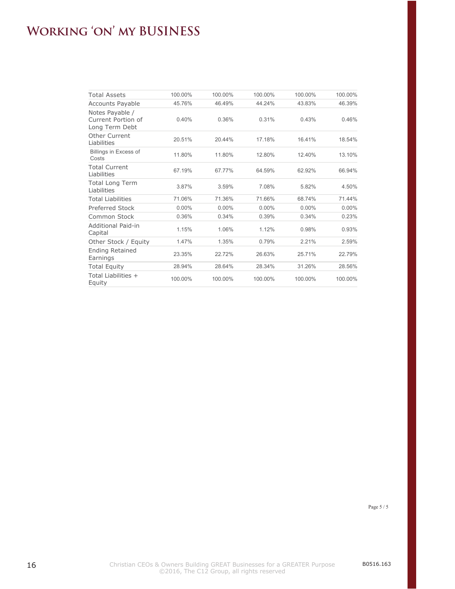#### WORKING 'ON' MY BUSINESS

| <b>Total Assets</b>                                     | 100.00%  | 100.00%  | 100.00%  | 100.00%  | 100.00%  |
|---------------------------------------------------------|----------|----------|----------|----------|----------|
| <b>Accounts Payable</b>                                 | 45.76%   | 46.49%   | 44.24%   | 43.83%   | 46.39%   |
| Notes Payable /<br>Current Portion of<br>Long Term Debt | 0.40%    | 0.36%    | 0.31%    | 0.43%    | 0.46%    |
| Other Current<br>Liabilities                            | 20.51%   | 20.44%   | 17.18%   | 16.41%   | 18.54%   |
| Billings in Excess of<br>Costs                          | 11.80%   | 11.80%   | 12.80%   | 12.40%   | 13.10%   |
| <b>Total Current</b><br>Liabilities                     | 67.19%   | 67.77%   | 64.59%   | 62.92%   | 66.94%   |
| <b>Total Long Term</b><br>Liabilities                   | 3.87%    | 3.59%    | 7.08%    | 5.82%    | 4.50%    |
| <b>Total Liabilities</b>                                | 71.06%   | 71.36%   | 71.66%   | 68.74%   | 71.44%   |
| Preferred Stock                                         | $0.00\%$ | $0.00\%$ | $0.00\%$ | $0.00\%$ | $0.00\%$ |
| Common Stock                                            | 0.36%    | 0.34%    | 0.39%    | 0.34%    | 0.23%    |
| Additional Paid-in<br>Capital                           | 1.15%    | 1.06%    | 1.12%    | 0.98%    | 0.93%    |
| Other Stock / Equity                                    | 1.47%    | 1.35%    | 0.79%    | 2.21%    | 2.59%    |
| <b>Ending Retained</b><br>Earnings                      | 23.35%   | 22.72%   | 26.63%   | 25.71%   | 22.79%   |
| <b>Total Equity</b>                                     | 28.94%   | 28.64%   | 28.34%   | 31.26%   | 28.56%   |
| Total Liabilities +<br>Equity                           | 100.00%  | 100.00%  | 100.00%  | 100.00%  | 100.00%  |
|                                                         |          |          |          |          |          |

Page 5 / 5